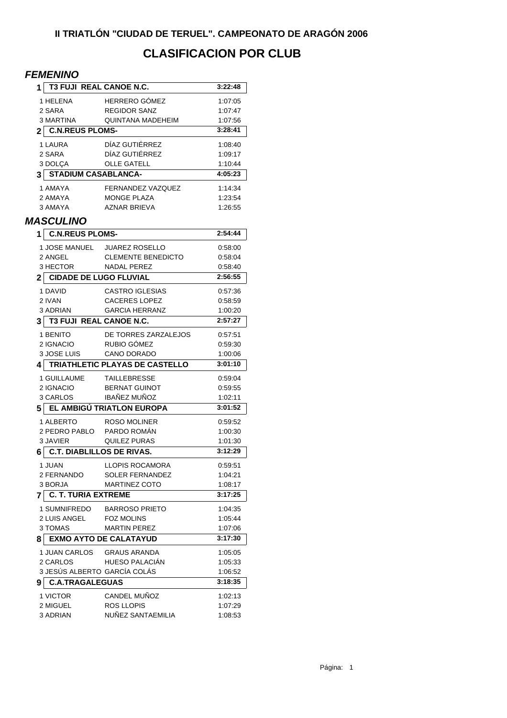## **CLASIFICACION POR CLUB**

## *FEMENINO*

| 1                                   | <b>T3 FUJI REAL CANOE N.C.</b>         | 3:22:48            |  |  |
|-------------------------------------|----------------------------------------|--------------------|--|--|
| 1 HELENA                            | <b>HERRERO GÓMEZ</b>                   | 1:07:05            |  |  |
| 2 SARA                              | <b>REGIDOR SANZ</b>                    | 1:07:47            |  |  |
| 3 MARTINA                           | QUINTANA MADEHEIM                      | 1:07:56            |  |  |
| 2 C.N.REUS PLOMS-                   | 3:28:41                                |                    |  |  |
| 1 LAURA                             | DÍAZ GUTIÉRREZ                         | 1:08:40            |  |  |
| 2 SARA                              | DÍAZ GUTIÉRREZ                         | 1:09:17            |  |  |
| 3 DOLÇA                             | <b>OLLE GATELL</b>                     | 1:10:44            |  |  |
| <b>STADIUM CASABLANCA-</b><br>3     | 4:05:23                                |                    |  |  |
| 1 AMAYA                             | <b>FERNANDEZ VAZQUEZ</b>               | 1:14:34            |  |  |
| 2 AMAYA                             | <b>MONGE PLAZA</b>                     | 1:23:54            |  |  |
| 3 AMAYA                             | <b>AZNAR BRIEVA</b>                    | 1.26:55            |  |  |
| <b>MASCULINO</b>                    |                                        |                    |  |  |
| <b>C.N.REUS PLOMS-</b><br>1         |                                        | 2:54:44            |  |  |
| 1 JOSE MANUEL                       | <b>JUAREZ ROSELLO</b>                  | 0.58:00            |  |  |
| 2 ANGEL                             | <b>CLEMENTE BENEDICTO</b>              | 0.58.04            |  |  |
| 3 HECTOR                            | <b>NADAL PEREZ</b>                     | 0:58:40            |  |  |
| 2                                   | <b>CIDADE DE LUGO FLUVIAL</b>          | 2:56:55            |  |  |
|                                     |                                        |                    |  |  |
| 1 DAVID                             | <b>CASTRO IGLESIAS</b>                 | 0:57:36            |  |  |
| 2 IVAN<br>3 ADRIAN                  | <b>CACERES LOPEZ</b>                   | 0.58.59            |  |  |
|                                     | <b>GARCIA HERRANZ</b>                  | 1:00:20<br>2:57:27 |  |  |
| <b>T3 FUJI REAL CANOE N.C.</b><br>3 |                                        |                    |  |  |
| 1 BENITO                            | DE TORRES ZARZALEJOS                   | 0:57:51            |  |  |
| 2 IGNACIO                           | RUBIO GÓMEZ                            | 0.59.30            |  |  |
|                                     |                                        |                    |  |  |
| 3 JOSE LUIS                         | CANO DORADO                            | 1:00:06            |  |  |
| 41                                  | TRIATHLETIC PLAYAS DE CASTELLO         | 3:01:10            |  |  |
| 1 GUILLAUME                         | TAILLEBRESSE                           | 0:59:04            |  |  |
| 2 IGNACIO                           | <b>BERNAT GUINOT</b>                   | 0:59:55            |  |  |
| 3 CARLOS                            | <b>IBAÑEZ MUÑOZ</b>                    | 1:02:11            |  |  |
| 5                                   | EL AMBIGÚ TRIATLON EUROPA              | 3:01:52            |  |  |
| 1 ALBERTO                           | <b>ROSO MOLINER</b>                    | 0:59:52            |  |  |
| 2 PEDRO PABLO                       | PARDO ROMÁN                            | 1:00:30            |  |  |
| 3 JAVIER                            | QUILEZ PURAS                           | 1:01:30            |  |  |
| 6                                   | <b>C.T. DIABLILLOS DE RIVAS.</b>       | 3:12:29            |  |  |
| 1 JUAN                              | LLOPIS ROCAMORA                        | 0.59.51            |  |  |
| 2 FERNANDO                          | <b>SOLER FERNANDEZ</b>                 | 1:04:21            |  |  |
| 3 BORJA                             | <b>MARTINEZ COTO</b>                   | 1:08:17            |  |  |
| <b>C. T. TURIA EXTREME</b><br>7     |                                        | 3:17:25            |  |  |
| 1 SUMNIFREDO                        | <b>BARROSO PRIETO</b>                  | 1:04:35            |  |  |
| 2 LUIS ANGEL                        | <b>FOZ MOLINS</b>                      | 1:05:44            |  |  |
| 3 TOMAS                             | <b>MARTIN PEREZ</b>                    | 1:07:06            |  |  |
| 8                                   | <b>EXMO AYTO DE CALATAYUD</b>          | 3:17:30            |  |  |
| 1 JUAN CARLOS                       | <b>GRAUS ARANDA</b>                    | 1:05:05            |  |  |
| 2 CARLOS                            | HUESO PALACIÁN                         | 1:05:33            |  |  |
|                                     | 3 JESÚS ALBERTO GARCÍA COLÁS           | 1:06:52            |  |  |
| <b>C.A.TRAGALEGUAS</b><br>9         |                                        | 3:18:35            |  |  |
| 1 VICTOR                            | CANDEL MUÑOZ                           | 1:02:13            |  |  |
| 2 MIGUEL<br>3 ADRIAN                | <b>ROS LLOPIS</b><br>NUÑEZ SANTAEMILIA | 1:07:29            |  |  |